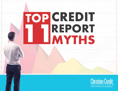

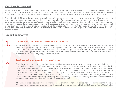# **Credit Myths Resolved**

Many people are scared of credit. They hear myths or false advertisements and don't know who or what to believe. They are afraid of falling into a pool of debt by getting scammed, encountering a costly, unexpected life event, or simply mishandling their credit. In fact, there are many people who think or hear that "credit is bad" and it is "a way to keep you in debt."

The truth is that, if handled and repaid responsibly, credit can be a useful tool to help you achieve your life goals, such as owning a house, purchasing a car, or furthering your education. Today, your credit score is more important than ever with insurance companies using consumers' credit scores to determine their insurance rates. Likewise, with your permission, employers can also request to see your credit report. For these reasons and many more, credit is important and it can be beneficial if you learn how to manage it properly. In order to do this successfully, it is important to educate yourself so you know what is true and false about credit. Being aware of the following 11 myths about credit is a great place to start. It's time to set the record straight!

# **Credit Report Myths**

1.

2.

# **Paying my debts will make my credit report instantly pristine.**

A credit report is a history of your payments, not just a snapshot of where you are at the moment, says Maxine Sweet, vice president of public education for Experian, one of the three major credit reporting agencies. As the author of the popular web column "Ask Max," she reminds people that you can't change the past. Even though you can't change the past and your credit isn't immediately pristine once you pay your debts, it can improve over time as you make ongoing, on-time payments.

# **Credit counseling always destroys my credit score.**

Over the years, many misconceptions about credit counseling agencies have come up. More people today understand that if an account is reporting as "managed by a credit counseling agency" it is not viewed negatively by lenders. Working with a credit counseling agency is viewed as a neutral mark which alone will not negatively affect your score. If you decide that calling a nonprofit credit counseling company is right for you, make sure to make an educated decision about which company you choose to work with. Make sure the company is accredited and check with the local Better Business Bureau. You can also check with the attorney general's office to see if there are any complaints pending against a company. Do not waste money on fancy credit monitoring or identity protection. You can monitor your own credit for free.

Attending a credit counselor's debt management program is not considered negative in the scoring models. "We don't want consumers to consider credit counseling to be detrimental to their FICO scores," says Craig Watts,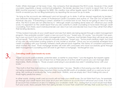Public Affairs Manager at Fair Isaac Corp., the company that developed the FICO score. However, if the credit counselor negotiates a lesser contractual obligation, the lender decides how it wants to report that. So if your \$500 monthly payment is refigured for \$300, the creditor may either legally report that as \$200 in arrears every month or reward you for not filing bankruptcy by reporting the account as up to date.

"As long as the accounts are delinquent and not brought up to date, it will be viewed negatively by lenders," says Deborah McNaughton, owner of Professional Credit Counselors and author of "The Get Out of Debt Kit." However, she says, "if everything is current, whether it's a home loan or not, they're not going to view it as negative. The FICO scores are not affected by it." Although credit counseling alone does not influence your credit score, it is apparent on the credit report that you are currently in credit counseling or have been through credit counseling. From there, each individual lender can view it (or not) and decide how much they will let that affect their lending decisions.

"If they looked manually at your credit report and see that debts are being repaid through a debt management program, they probably wouldn't open a new account for you," Sweet says. Of course, "you shouldn't be opening a new account if you're in a debt management plan." However, most lenders these days will never see your actual report. "They don't look at reports manually anymore," Sweet says. "Some small creditors might, but most of any size use automated scoring systems of one model or another." Once you've successfully emerged from credit counseling with your formerly tattered credit pieced back together, the history of consistent payments is what matters the most. "Even mortgage lenders will work with consumers who have successfully gone through debt management counseling and will work to get them a mortgage," McNaughton says.

#### **Canceling credit cards boosts my score.**

"Open accounts spell available, potential debt, so better to close them," runs the legend. But experts agree that most creditors want to see at least two or three pieces of active credit to prove you can manage debt responsibly. Watts chimes in, "those unused cards lying in your jewelry box aren't wreaking havoc with your score."

"The myth is that they look ominous to potential lenders," he says. "Reality is that paying your bills on time and not being overextended is more important than having \$5,000 worth of available credit on a card you're not using. We continue to evaluate this 'total credit limits' statistic, and we simply don't find it falling into one of those highly predictive areas."

In other words, closing credit card accounts will not help your credit score. Do not think that if you, for example, go through your credit report and close all of your zero balance accounts that it will boost your score. If an older account has a balance of zero it is helping your available credit, thus, closing that account would most likely hurt your score. Many people think that asking lenders to lower their credit limit will help their score but this is not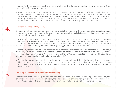the case for the same reason as above. Your available credit will decrease and could lower your score. Either way, it will not increase your score.

Many people think that if an account is closed and reports as "closed by consumer" it is a negative item on their credit report. Do not worry if a lender reports an account as "closed by credit grantor." It's true that they could have closed it due to delinquency but they also could have closed it due to inactivity. The statement "closed by credit grantor" itself is not bad. Lenders figure that if the credit grantor closed the account due to delinquency then the payment history will reflect that and they are looking at the payment history.

### **Too many inquiries hurt my score.**

4.

5.

Once upon a time, this statement was true. However, in this millennium, the credit agencies recognize a shopping mind-set when they see one. Especially when rate shopping, multiple inquiries within a certain amount of time, are only counted as a single inquiry.

"Outside that 30-day period, if we locate a mortgage or car inquiry that occurred 180 days ago, and then see more mortgage or auto-related hits in the accompanying 14-day window, we error on the consumer's side and still assume she's shopping for one item," he says. "We really feel like we are capturing the true consumer experience and not holding it against them for being an aggressive or smart rate shopper."

Furthermore, "there's no such thing as some fixed number of points associated with these inquiries," Watts says. "Inevitably, when a consumer or a lender evaluates a credit file, they think this item must be worth 20 points, this is worth 100 points," he says. "In reality, we design the FICO scoring model so that each credit report item is given a reasonable or statistically valid number of points."

In English, that means that ultimately credit scores are designed to predict the likelihood that you'll fall seriously behind in repaying one of your creditors within the next two years. Some things have predictive value and some don't. Inquiries fall in the middle. "They're not incredibly predictive, so they're in the model but they don't drive the boat," Watts says.

# **Checking my own credit report harms my standing.**

The reporting agencies distinguish between soft and hard pulls. For example, when Target calls to check your credit report before issuing its line of credit, the agencies consider that a hard pull and it counts against your score. Personal requests are considered soft pulls which do not negatively affect your credit score.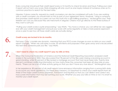Every consumer should pull their credit report every 6-12 months to check for errors and fraud. Pulling your credit report will not harm your score. Rate shopping will only count as one inquiry instead of numerous ones as it is common practice to search for the best rates.

Likewise, if done correctly, requests by credit counselors can also be considered soft pulls. If you are working with a credit counselor, you should insist on this as part of your agreement terms. However, "using a company that promises credit reports as a perk can turn this myth into a self-fulfilling prophecy," McNaughton says. Their freebie can cost you because they are merchants in disguise. Citizens must go directly to the three bureaus if they want a soft pull.

"Pulling your credit scores is quite empowering," says Watts. "You have a choice: you can either be very aggressive with your credit management and pull your score with some regularity or take a more passive approach once a year to see how all those credit cards are actually doing."

#### **Credit scores are locked in for six months.**

6.

7.

Fair Isaac Corp.'s models are dynamic, meaning that your FICO score changes as soon as data on your credit report changes. "When we calculate a score, for all intents and purposes it then goes away and is recalculated the next time someone pulls your file," says Watts.

## **I don't need to check my credit report if I pay my bills on time.**

When the Consumer Federation of America and the National Credit Reporting Association analyzed credit scores in the summer of 2002, they discovered that 78 percent of the files were missing a revolving account in good standing, while 33 percent of files lacked a mortgage account that had never been late. Twenty-nine percent contained conflicting information on how many times the consumer had been 60 days late on payments. "There can be a lot of other activity going on that you don't have any clue about," McNaughton says.

In her experience, 80 percent of all credit reports have erroneous information ranging from a wrong birth date to accounts you never applied for. For these exact reasons, it is important to check your credit reports from all three of the major credit bureaus (Experian, TransUnion and Equifax) so that you can detect and correct any inaccurate information that may be harming your score. Whether you pay your bills on time or not, it is smart to monitor your credit report.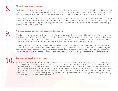9.

10.

#### **All credit reports are the same.**

This is extremely false. These days, most creditors across the country do report their information to all three major agencies: Equifax, Experian and TransUnion. Nevertheless, "that was not true in the past," Sweet says. Due to the fact that they are separate companies, the speed in which they update records isn't necessarily equal.

Additionally, the agencies use inquiry activity to update your address, phone numbers, employment status and the like. For example, it's possible that TransUnion doesn't show your current address because creditors typically pull only one company's report. McNaughton says she's never seen a client yet for whom all three reports spit out the same records and scores.

#### **A divorce decree automatically severs joint accounts.**

"The judge may have rubber-stamped your plans to divide credit card, car and house payments, but that carries absolutely no legal weight with the creditors themselves," Sweet says. "We see so many people who, a year or two after the divorce, are just outraged and hurt because their credit report reflects their ex-spouse's missed payments," she says. Unfortunately, at that point, they are helpless to erase the damage.

Divorcing parties must contact the creditors and either close current accounts or have the booted name sign a letter of consent for this action. "Furthermore, assuming certain debts isn't just a one-sided decision on your part," says Sweet. Creditors typically do a credit check on your name and if they don't deem you financially stable enough to assume that \$30,000 car loan, for instance, they won't agree to remove the other person.

## **Bad news comes off in seven years.**

Some of it does. Chapter 13 bankruptcy (reorganization of debt) disappears seven years from the filing date. But if you filed Chapter 7 bankruptcy (exoneration of all debt), the window is 10 years from the filing date. On the positive side, accounts in bankruptcy can be deleted seven years after the date of your first missed payment, so those individual pieces may disappear before the word "bankruptcy" does on your report. Also, "if you pay off or close an account that had no delinquencies or problems, it too, remains on the record for 10 years rather than seven," say Experian experts. Again, this means positive information hangs around longer than negative information, which benefits consumers.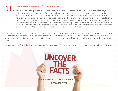#### **I can always pay someone to fix or repair my credit.**

Yes, you can clear up inaccurate information posted to your account, such as a repossessed car that you didn't purchase in the first place. On the other hand, factual evidence that can be proved by you or the creditor will not be removed in a dispute. For example, if you paid your Sears bill three months late in 2004, that's a hard fact. Companies claiming to fix your credit deliver on their promises by generating a flood of dispute letters to the credit reporting agencies, which in turn ask the creditor to verify or document the entry. If the creditor verifies that the account information that they reported to the agencies is indeed inaccurate, the mistake must must be corrected on the credit report. Conversely, if the creditor later does verify that the disputed information is actually correct, that information will remain on that agency's credit report.

Hopefully, correcting these myths will not only set the record straight on credit reports and scores, but will also give you more confidence in managing your credit wisely. In this case, knowledge truly is power. When you learn how to manage and repay credit by reading accurate information, it can help you achieve your life goals as well as your financial success and freedom.

**Read more: http://www.bankrate.com/finance/money-guides/11-things-you-never-knew-about-your-credit-report-1.aspx**

# **UNCOVER THE**<br>FACTS

**www.ChristianCreditCounselors.org 1.800.557.1987**